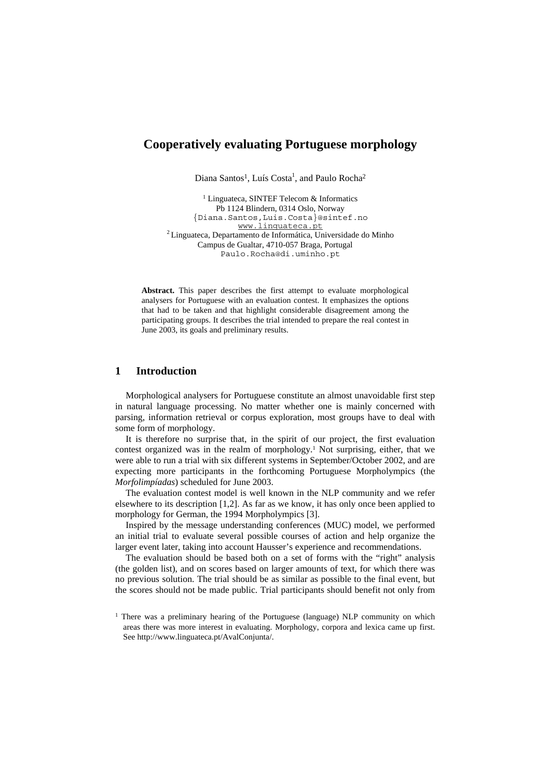# **Cooperatively evaluating Portuguese morphology**

Diana Santos<sup>1</sup>, Luís Costa<sup>1</sup>, and Paulo Rocha<sup>2</sup>

<sup>1</sup> Linguateca, SINTEF Telecom & Informatics Pb 1124 Blindern, 0314 Oslo, Norway {Diana.Santos,Luis.Costa}@sintef.no<br>www.linguateca.pt <sup>2</sup> Linguateca, Departamento de Informática, Universidade do Minho Campus de Gualtar, 4710-057 Braga, Portugal Paulo.Rocha@di.uminho.pt

**Abstract.** This paper describes the first attempt to evaluate morphological analysers for Portuguese with an evaluation contest. It emphasizes the options that had to be taken and that highlight considerable disagreement among the participating groups. It describes the trial intended to prepare the real contest in June 2003, its goals and preliminary results.

## **1 Introduction**

Morphological analysers for Portuguese constitute an almost unavoidable first step in natural language processing. No matter whether one is mainly concerned with parsing, information retrieval or corpus exploration, most groups have to deal with some form of morphology.

It is therefore no surprise that, in the spirit of our project, the first evaluation contest organized was in the realm of morphology.<sup>1</sup> Not surprising, either, that we were able to run a trial with six different systems in September/October 2002, and are expecting more participants in the forthcoming Portuguese Morpholympics (the *Morfolimpíadas*) scheduled for June 2003.

The evaluation contest model is well known in the NLP community and we refer elsewhere to its description [1,2]. As far as we know, it has only once been applied to morphology for German, the 1994 Morpholympics [3].

Inspired by the message understanding conferences (MUC) model, we performed an initial trial to evaluate several possible courses of action and help organize the larger event later, taking into account Hausser's experience and recommendations.

The evaluation should be based both on a set of forms with the "right" analysis (the golden list), and on scores based on larger amounts of text, for which there was no previous solution. The trial should be as similar as possible to the final event, but the scores should not be made public. Trial participants should benefit not only from

<sup>&</sup>lt;sup>1</sup> There was a preliminary hearing of the Portuguese (language) NLP community on which areas there was more interest in evaluating. Morphology, corpora and lexica came up first. See http://www.linguateca.pt/AvalConjunta/.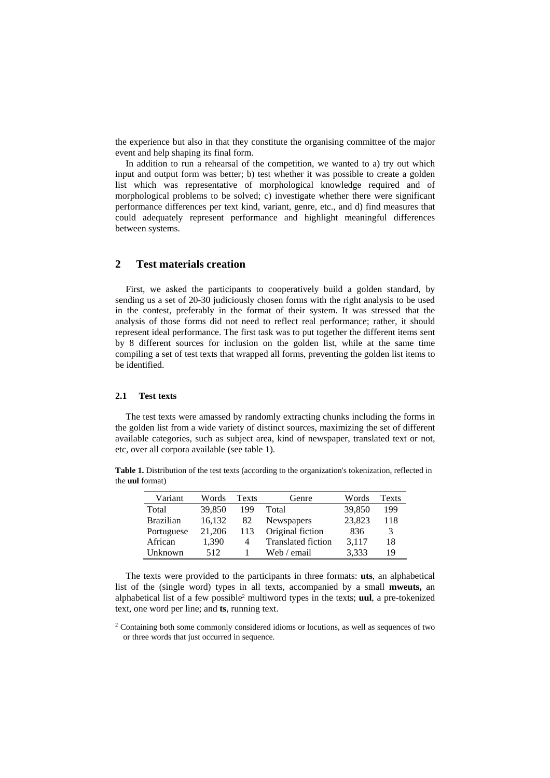the experience but also in that they constitute the organising committee of the major event and help shaping its final form.

In addition to run a rehearsal of the competition, we wanted to a) try out which input and output form was better; b) test whether it was possible to create a golden list which was representative of morphological knowledge required and of morphological problems to be solved; c) investigate whether there were significant performance differences per text kind, variant, genre, etc., and d) find measures that could adequately represent performance and highlight meaningful differences between systems.

## **2 Test materials creation**

First, we asked the participants to cooperatively build a golden standard, by sending us a set of 20-30 judiciously chosen forms with the right analysis to be used in the contest, preferably in the format of their system. It was stressed that the analysis of those forms did not need to reflect real performance; rather, it should represent ideal performance. The first task was to put together the different items sent by 8 different sources for inclusion on the golden list, while at the same time compiling a set of test texts that wrapped all forms, preventing the golden list items to be identified.

### **2.1 Test texts**

The test texts were amassed by randomly extracting chunks including the forms in the golden list from a wide variety of distinct sources, maximizing the set of different available categories, such as subject area, kind of newspaper, translated text or not, etc, over all corpora available (see table 1).

**Table 1.** Distribution of the test texts (according to the organization's tokenization, reflected in the **uul** format)

| Variant          | Words  | Texts | Genre                     | Words  | <b>Texts</b> |
|------------------|--------|-------|---------------------------|--------|--------------|
| Total            | 39,850 | 199   | Total                     | 39,850 | 199          |
| <b>Brazilian</b> | 16,132 | 82    | Newspapers                | 23,823 | 118          |
| Portuguese       | 21,206 | 113   | Original fiction          | 836    | 3            |
| African          | 1,390  | 4     | <b>Translated fiction</b> | 3.117  | 18           |
| Unknown          | 512    |       | Web / email               | 3,333  | 19           |

The texts were provided to the participants in three formats: **uts**, an alphabetical list of the (single word) types in all texts, accompanied by a small **mweuts,** an alphabetical list of a few possible2 multiword types in the texts; **uul**, a pre-tokenized text, one word per line; and **ts**, running text.

<sup>2</sup> Containing both some commonly considered idioms or locutions, as well as sequences of two or three words that just occurred in sequence.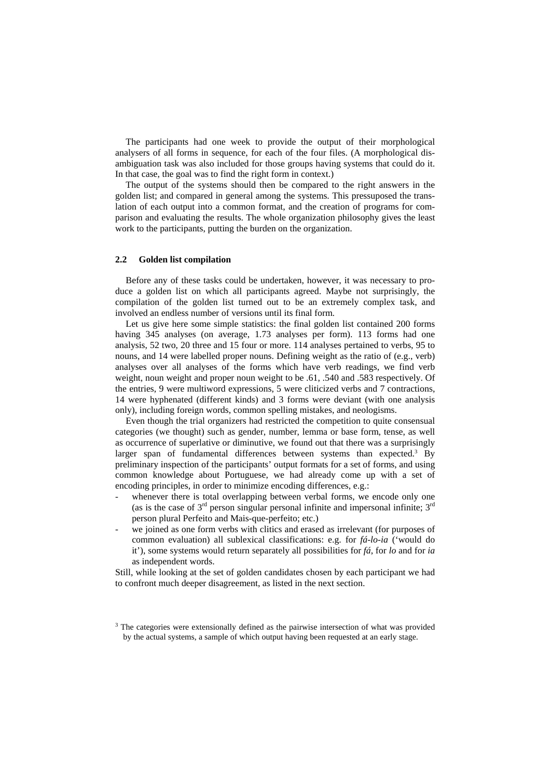The participants had one week to provide the output of their morphological analysers of all forms in sequence, for each of the four files. (A morphological disambiguation task was also included for those groups having systems that could do it. In that case, the goal was to find the right form in context.)

The output of the systems should then be compared to the right answers in the golden list; and compared in general among the systems. This pressuposed the translation of each output into a common format, and the creation of programs for comparison and evaluating the results. The whole organization philosophy gives the least work to the participants, putting the burden on the organization.

## **2.2 Golden list compilation**

Before any of these tasks could be undertaken, however, it was necessary to produce a golden list on which all participants agreed. Maybe not surprisingly, the compilation of the golden list turned out to be an extremely complex task, and involved an endless number of versions until its final form.

Let us give here some simple statistics: the final golden list contained 200 forms having 345 analyses (on average, 1.73 analyses per form). 113 forms had one analysis, 52 two, 20 three and 15 four or more. 114 analyses pertained to verbs, 95 to nouns, and 14 were labelled proper nouns. Defining weight as the ratio of (e.g., verb) analyses over all analyses of the forms which have verb readings, we find verb weight, noun weight and proper noun weight to be .61, .540 and .583 respectively. Of the entries, 9 were multiword expressions, 5 were cliticized verbs and 7 contractions, 14 were hyphenated (different kinds) and 3 forms were deviant (with one analysis only), including foreign words, common spelling mistakes, and neologisms.

Even though the trial organizers had restricted the competition to quite consensual categories (we thought) such as gender, number, lemma or base form, tense, as well as occurrence of superlative or diminutive, we found out that there was a surprisingly larger span of fundamental differences between systems than expected.<sup>3</sup> By preliminary inspection of the participants' output formats for a set of forms, and using common knowledge about Portuguese, we had already come up with a set of encoding principles, in order to minimize encoding differences, e.g.:

- whenever there is total overlapping between verbal forms, we encode only one (as is the case of  $3<sup>rd</sup>$  person singular personal infinite and impersonal infinite;  $3<sup>rd</sup>$ person plural Perfeito and Mais-que-perfeito; etc.)
- we joined as one form verbs with clitics and erased as irrelevant (for purposes of common evaluation) all sublexical classifications: e.g. for *fá-lo-ia* ('would do it'), some systems would return separately all possibilities for *fá*, for *lo* and for *ia* as independent words.

Still, while looking at the set of golden candidates chosen by each participant we had to confront much deeper disagreement, as listed in the next section.

<sup>&</sup>lt;sup>3</sup> The categories were extensionally defined as the pairwise intersection of what was provided by the actual systems, a sample of which output having been requested at an early stage.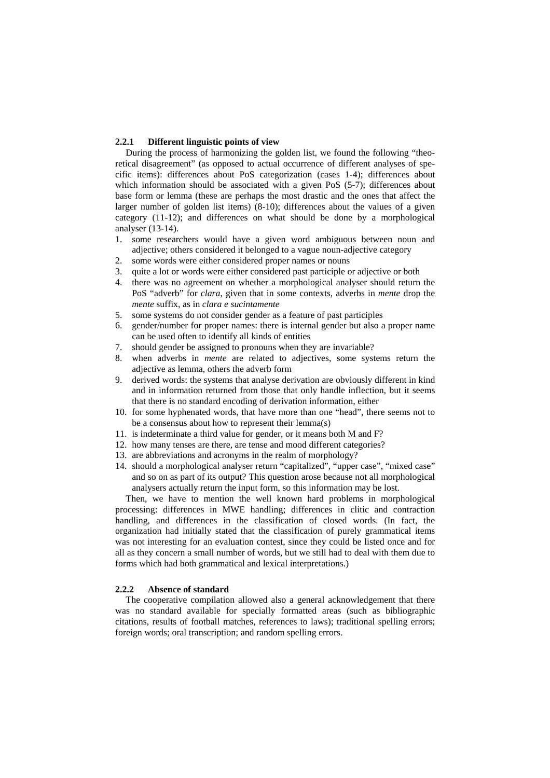### **2.2.1 Different linguistic points of view**

During the process of harmonizing the golden list, we found the following "theoretical disagreement" (as opposed to actual occurrence of different analyses of specific items): differences about PoS categorization (cases 1-4); differences about which information should be associated with a given PoS (5-7); differences about base form or lemma (these are perhaps the most drastic and the ones that affect the larger number of golden list items) (8-10); differences about the values of a given category (11-12); and differences on what should be done by a morphological analyser (13-14).

- 1. some researchers would have a given word ambiguous between noun and adjective; others considered it belonged to a vague noun-adjective category
- 2. some words were either considered proper names or nouns
- 3. quite a lot or words were either considered past participle or adjective or both
- 4. there was no agreement on whether a morphological analyser should return the PoS "adverb" for *clara*, given that in some contexts, adverbs in *mente* drop the *mente* suffix, as in *clara e sucintamente*
- 5. some systems do not consider gender as a feature of past participles
- 6. gender/number for proper names: there is internal gender but also a proper name can be used often to identify all kinds of entities
- 7. should gender be assigned to pronouns when they are invariable?
- 8. when adverbs in *mente* are related to adjectives, some systems return the adjective as lemma, others the adverb form
- 9. derived words: the systems that analyse derivation are obviously different in kind and in information returned from those that only handle inflection, but it seems that there is no standard encoding of derivation information, either
- 10. for some hyphenated words, that have more than one "head", there seems not to be a consensus about how to represent their lemma(s)
- 11. is indeterminate a third value for gender, or it means both M and F?
- 12. how many tenses are there, are tense and mood different categories?
- 13. are abbreviations and acronyms in the realm of morphology?
- 14. should a morphological analyser return "capitalized", "upper case", "mixed case" and so on as part of its output? This question arose because not all morphological analysers actually return the input form, so this information may be lost.

Then, we have to mention the well known hard problems in morphological processing: differences in MWE handling; differences in clitic and contraction handling, and differences in the classification of closed words. (In fact, the organization had initially stated that the classification of purely grammatical items was not interesting for an evaluation contest, since they could be listed once and for all as they concern a small number of words, but we still had to deal with them due to forms which had both grammatical and lexical interpretations.)

#### **2.2.2 Absence of standard**

The cooperative compilation allowed also a general acknowledgement that there was no standard available for specially formatted areas (such as bibliographic citations, results of football matches, references to laws); traditional spelling errors; foreign words; oral transcription; and random spelling errors.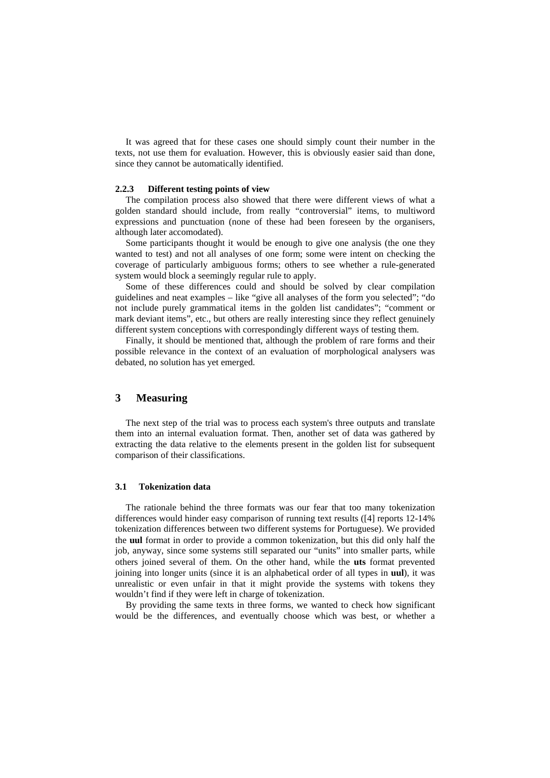It was agreed that for these cases one should simply count their number in the texts, not use them for evaluation. However, this is obviously easier said than done, since they cannot be automatically identified.

## **2.2.3 Different testing points of view**

The compilation process also showed that there were different views of what a golden standard should include, from really "controversial" items, to multiword expressions and punctuation (none of these had been foreseen by the organisers, although later accomodated).

Some participants thought it would be enough to give one analysis (the one they wanted to test) and not all analyses of one form; some were intent on checking the coverage of particularly ambiguous forms; others to see whether a rule-generated system would block a seemingly regular rule to apply.

Some of these differences could and should be solved by clear compilation guidelines and neat examples – like "give all analyses of the form you selected"; "do not include purely grammatical items in the golden list candidates"; "comment or mark deviant items", etc., but others are really interesting since they reflect genuinely different system conceptions with correspondingly different ways of testing them.

Finally, it should be mentioned that, although the problem of rare forms and their possible relevance in the context of an evaluation of morphological analysers was debated, no solution has yet emerged.

## **3 Measuring**

The next step of the trial was to process each system's three outputs and translate them into an internal evaluation format. Then, another set of data was gathered by extracting the data relative to the elements present in the golden list for subsequent comparison of their classifications.

### **3.1 Tokenization data**

The rationale behind the three formats was our fear that too many tokenization differences would hinder easy comparison of running text results ([4] reports 12-14% tokenization differences between two different systems for Portuguese). We provided the **uul** format in order to provide a common tokenization, but this did only half the job, anyway, since some systems still separated our "units" into smaller parts, while others joined several of them. On the other hand, while the **uts** format prevented joining into longer units (since it is an alphabetical order of all types in **uul**), it was unrealistic or even unfair in that it might provide the systems with tokens they wouldn't find if they were left in charge of tokenization.

By providing the same texts in three forms, we wanted to check how significant would be the differences, and eventually choose which was best, or whether a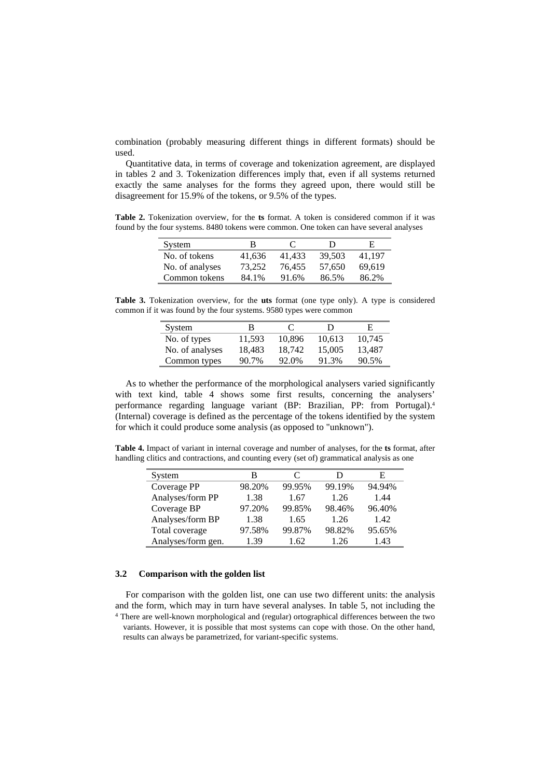combination (probably measuring different things in different formats) should be used.

Quantitative data, in terms of coverage and tokenization agreement, are displayed in tables 2 and 3. Tokenization differences imply that, even if all systems returned exactly the same analyses for the forms they agreed upon, there would still be disagreement for 15.9% of the tokens, or 9.5% of the types.

**Table 2.** Tokenization overview, for the **ts** format. A token is considered common if it was found by the four systems. 8480 tokens were common. One token can have several analyses

| System          | В      | $\mathbf{C}$ | Ð      | H.     |
|-----------------|--------|--------------|--------|--------|
| No. of tokens   | 41.636 | 41.433       | 39.503 | 41.197 |
| No. of analyses | 73.252 | 76.455       | 57.650 | 69.619 |
| Common tokens   | 84.1%  | 91.6%        | 86.5%  | 86.2%  |

**Table 3.** Tokenization overview, for the **uts** format (one type only). A type is considered common if it was found by the four systems. 9580 types were common

| System          | в      | C      | Ð      | E      |
|-----------------|--------|--------|--------|--------|
| No. of types    | 11.593 | 10.896 | 10.613 | 10.745 |
| No. of analyses | 18.483 | 18.742 | 15,005 | 13.487 |
| Common types    | 90.7%  | 92.0%  | 91.3%  | 90.5%  |

As to whether the performance of the morphological analysers varied significantly with text kind, table 4 shows some first results, concerning the analysers' performance regarding language variant (BP: Brazilian, PP: from Portugal).4 (Internal) coverage is defined as the percentage of the tokens identified by the system for which it could produce some analysis (as opposed to "unknown").

**Table 4.** Impact of variant in internal coverage and number of analyses, for the **ts** format, after handling clitics and contractions, and counting every (set of) grammatical analysis as one

| System             | В      |        | נו     | E      |
|--------------------|--------|--------|--------|--------|
| Coverage PP        | 98.20% | 99.95% | 99.19% | 94.94% |
| Analyses/form PP   | 1.38   | 1.67   | 1.26   | 1.44   |
| Coverage BP        | 97.20% | 99.85% | 98.46% | 96.40% |
| Analyses/form BP   | 1.38   | 1.65   | 1.26   | 1.42   |
| Total coverage     | 97.58% | 99.87% | 98.82% | 95.65% |
| Analyses/form gen. | 1.39   | 1.62   | 1.26   | 1.43   |

### **3.2 Comparison with the golden list**

For comparison with the golden list, one can use two different units: the analysis and the form, which may in turn have several analyses. In table 5, not including the 4 There are well-known morphological and (regular) ortographical differences between the two

variants. However, it is possible that most systems can cope with those. On the other hand, results can always be parametrized, for variant-specific systems.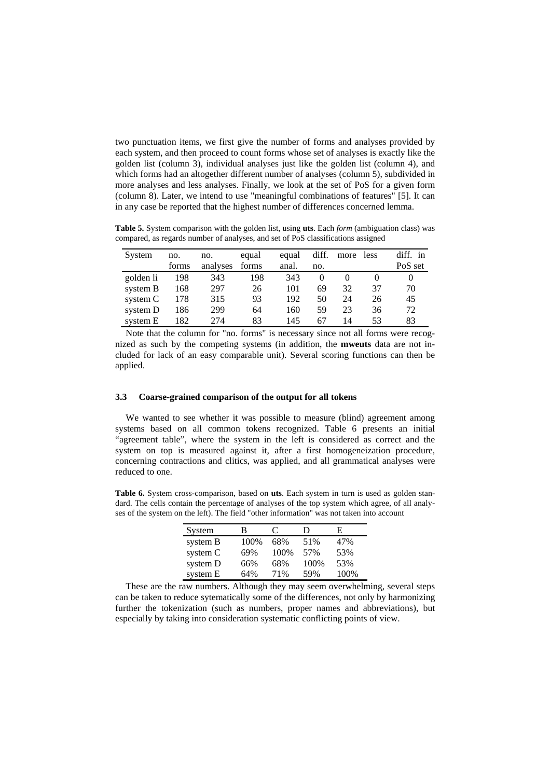two punctuation items, we first give the number of forms and analyses provided by each system, and then proceed to count forms whose set of analyses is exactly like the golden list (column 3), individual analyses just like the golden list (column 4), and which forms had an altogether different number of analyses (column 5), subdivided in more analyses and less analyses. Finally, we look at the set of PoS for a given form (column 8). Later, we intend to use "meaningful combinations of features" [5]. It can in any case be reported that the highest number of differences concerned lemma.

**Table 5.** System comparison with the golden list, using **uts**. Each *form* (ambiguation class) was compared, as regards number of analyses, and set of PoS classifications assigned

| System    | no.   | no.      | equal | equal | diff. | more less |    | diff. in |
|-----------|-------|----------|-------|-------|-------|-----------|----|----------|
|           | forms | analyses | forms | anal. | no.   |           |    | PoS set  |
| golden li | 198   | 343      | 198   | 343   |       |           |    |          |
| system B  | 168   | 297      | 26    | 101   | 69    | 32        | 37 | 70       |
| system C  | 178   | 315      | 93    | 192   | 50    | 24        | 26 | 45       |
| system D  | 186   | 299      | 64    | 160   | 59    | 23        | 36 | 72       |
| system E  | 182   | 274      | 83    | 145   | 67    | 14        | 53 | 83       |

Note that the column for "no. forms" is necessary since not all forms were recognized as such by the competing systems (in addition, the **mweuts** data are not included for lack of an easy comparable unit). Several scoring functions can then be applied.

### **3.3 Coarse-grained comparison of the output for all tokens**

We wanted to see whether it was possible to measure (blind) agreement among systems based on all common tokens recognized. Table 6 presents an initial "agreement table", where the system in the left is considered as correct and the system on top is measured against it, after a first homogeneization procedure, concerning contractions and clitics, was applied, and all grammatical analyses were reduced to one.

**Table 6.** System cross-comparison, based on **uts**. Each system in turn is used as golden standard. The cells contain the percentage of analyses of the top system which agree, of all analyses of the system on the left). The field "other information" was not taken into account

| System   | в    | C    | D    | E    |
|----------|------|------|------|------|
| system B | 100% | 68%  | 51%  | 47%  |
| system C | 69%  | 100% | 57%  | 53%  |
| system D | 66%  | 68%  | 100% | 53%  |
| system E | 64%  | 71%  | 59%  | 100% |

These are the raw numbers. Although they may seem overwhelming, several steps can be taken to reduce sytematically some of the differences, not only by harmonizing further the tokenization (such as numbers, proper names and abbreviations), but especially by taking into consideration systematic conflicting points of view.